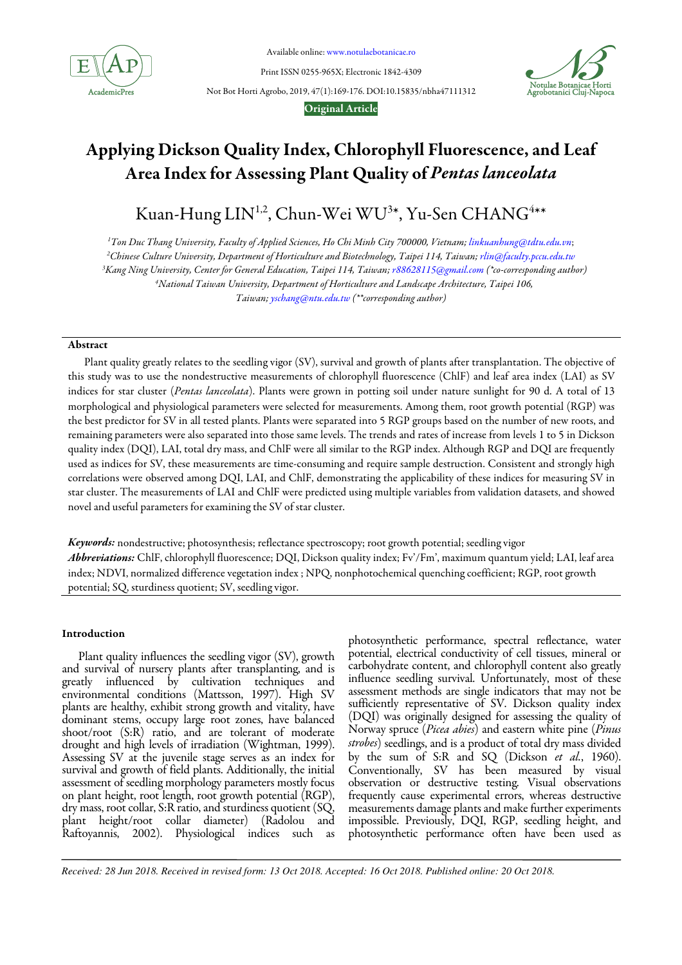

Available online: www.notulaebotanicae.ro

Print ISSN 0255-965X; Electronic 1842-4309

Not Bot Horti Agrobo, 2019, 47(1):169-176. DOI:10.15835/nbha47111312



## Original Article

# Applying Dickson Quality Index, Chlorophyll Fluorescence, and Leaf Area Index for Assessing Plant Quality of Pentas lanceolata

# Kuan-Hung LIN $^{1,2}$ , Chun-Wei WU $^{3\ast},$  Yu-Sen CHANG $^{4\ast\ast}$

<sup>1</sup>Ton Duc Thang University, Faculty of Applied Sciences, Ho Chi Minh City 700000, Vietnam; linkuanhung@tdtu.edu.vn;

<sup>2</sup>Chinese Culture University, Department of Horticulture and Biotechnology, Taipei 114, Taiwan; rlin@faculty.pccu.edu.tw

<sup>3</sup>Kang Ning University, Center for General Education, Taipei 114, Taiwan; r88628115@gmail.com (\*co-corresponding author)

<sup>4</sup>National Taiwan University, Department of Horticulture and Landscape Architecture, Taipei 106, Taiwan; yschang@ntu.edu.tw (\*\*corresponding author)

# Abstract

Plant quality greatly relates to the seedling vigor (SV), survival and growth of plants after transplantation. The objective of this study was to use the nondestructive measurements of chlorophyll fluorescence (ChlF) and leaf area index (LAI) as SV indices for star cluster (Pentas lanceolata). Plants were grown in potting soil under nature sunlight for 90 d. A total of 13 morphological and physiological parameters were selected for measurements. Among them, root growth potential (RGP) was the best predictor for SV in all tested plants. Plants were separated into 5 RGP groups based on the number of new roots, and remaining parameters were also separated into those same levels. The trends and rates of increase from levels 1 to 5 in Dickson quality index (DQI), LAI, total dry mass, and ChlF were all similar to the RGP index. Although RGP and DQI are frequently used as indices for SV, these measurements are time-consuming and require sample destruction. Consistent and strongly high correlations were observed among DQI, LAI, and ChlF, demonstrating the applicability of these indices for measuring SV in star cluster. The measurements of LAI and ChlF were predicted using multiple variables from validation datasets, and showed novel and useful parameters for examining the SV of star cluster.

Keywords: nondestructive; photosynthesis; reflectance spectroscopy; root growth potential; seedling vigor Abbreviations: ChlF, chlorophyll fluorescence; DQI, Dickson quality index; Fv'/Fm', maximum quantum yield; LAI, leaf area index; NDVI, normalized difference vegetation index ; NPQ, nonphotochemical quenching coefficient; RGP, root growth potential; SQ, sturdiness quotient; SV, seedling vigor.

# Introduction

Plant quality influences the seedling vigor (SV), growth and survival of nursery plants after transplanting, and is greatly influenced by cultivation techniques and environmental conditions (Mattsson, 1997). High SV plants are healthy, exhibit strong growth and vitality, have dominant stems, occupy large root zones, have balanced shoot/root (S:R) ratio, and are tolerant of moderate drought and high levels of irradiation (Wightman, 1999). Assessing SV at the juvenile stage serves as an index for survival and growth of field plants. Additionally, the initial assessment of seedling morphology parameters mostly focus on plant height, root length, root growth potential (RGP), dry mass, root collar, S:R ratio, and sturdiness quotient (SQ, plant height/root collar diameter) (Radolou and Raftoyannis, 2002). Physiological indices such as

photosynthetic performance, spectral reflectance, water potential, electrical conductivity of cell tissues, mineral or carbohydrate content, and chlorophyll content also greatly influence seedling survival. Unfortunately, most of these assessment methods are single indicators that may not be sufficiently representative of SV. Dickson quality index (DQI) was originally designed for assessing the quality of Norway spruce (*Picea abies*) and eastern white pine (*Pinus* strobes) seedlings, and is a product of total dry mass divided by the sum of S:R and SQ (Dickson et al., 1960). Conventionally, SV has been measured by visual observation or destructive testing. Visual observations frequently cause experimental errors, whereas destructive measurements damage plants and make further experiments impossible. Previously, DQI, RGP, seedling height, and photosynthetic performance often have been used as

*Received: 28 Jun 2018. Received in revised form: 13 Oct 2018. Accepted: 16 Oct 2018. Published online: 20 Oct 2018.*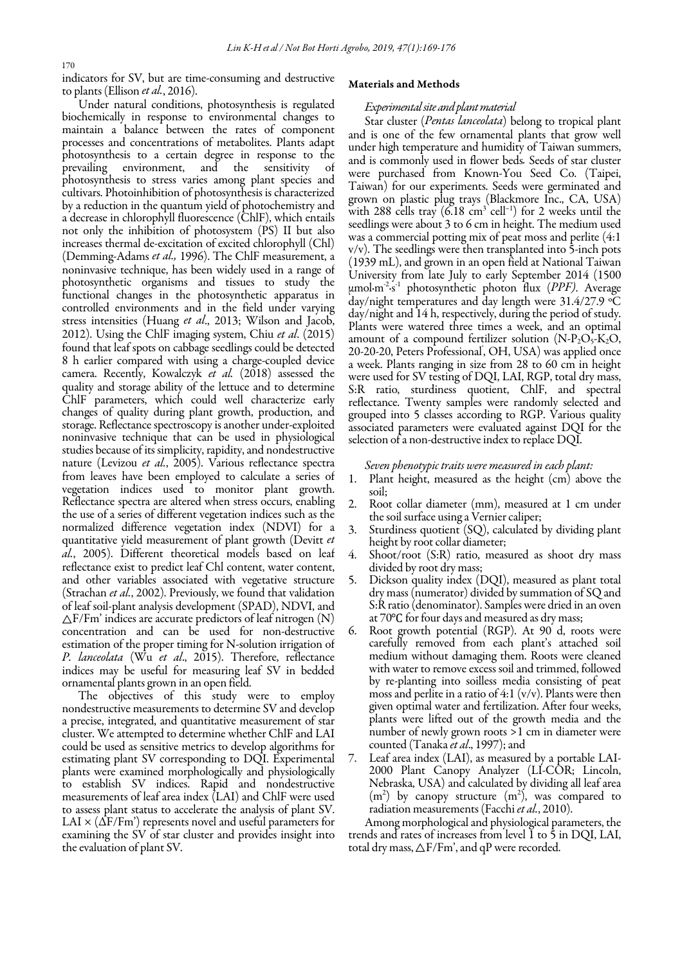indicators for SV, but are time-consuming and destructive to plants (Ellison *et al.*, 2016).

Under natural conditions, photosynthesis is regulated biochemically in response to environmental changes to maintain a balance between the rates of component processes and concentrations of metabolites. Plants adapt photosynthesis to a certain degree in response to the prevailing environment, and the sensitivity of photosynthesis to stress varies among plant species and cultivars. Photoinhibition of photosynthesis is characterized by a reduction in the quantum yield of photochemistry and a decrease in chlorophyll fluorescence (ChlF), which entails not only the inhibition of photosystem (PS) II but also increases thermal de-excitation of excited chlorophyll (Chl) (Demming-Adams et al., 1996). The ChlF measurement, a noninvasive technique, has been widely used in a range of photosynthetic organisms and tissues to study the functional changes in the photosynthetic apparatus in controlled environments and in the field under varying stress intensities (Huang et al., 2013; Wilson and Jacob, 2012). Using the ChlF imaging system, Chiu et al. (2015) found that leaf spots on cabbage seedlings could be detected 8 h earlier compared with using a charge-coupled device camera. Recently, Kowalczyk et al. (2018) assessed the quality and storage ability of the lettuce and to determine ChlF parameters, which could well characterize early changes of quality during plant growth, production, and storage. Reflectance spectroscopy is another under-exploited noninvasive technique that can be used in physiological studies because of its simplicity, rapidity, and nondestructive nature (Levizou et al., 2005). Various reflectance spectra from leaves have been employed to calculate a series of vegetation indices used to monitor plant growth. Reflectance spectra are altered when stress occurs, enabling the use of a series of different vegetation indices such as the normalized difference vegetation index (NDVI) for a quantitative yield measurement of plant growth (Devitt et al., 2005). Different theoretical models based on leaf reflectance exist to predict leaf Chl content, water content, and other variables associated with vegetative structure (Strachan et al., 2002). Previously, we found that validation of leaf soil-plant analysis development (SPAD), NDVI, and  $\Delta$ F/Fm' indices are accurate predictors of leaf nitrogen (N) concentration and can be used for non-destructive estimation of the proper timing for N-solution irrigation of P. lanceolata (Wu et al., 2015). Therefore, reflectance indices may be useful for measuring leaf SV in bedded ornamental plants grown in an open field.

The objectives of this study were to employ nondestructive measurements to determine SV and develop a precise, integrated, and quantitative measurement of star cluster. We attempted to determine whether ChlF and LAI could be used as sensitive metrics to develop algorithms for estimating plant SV corresponding to DQI. Experimental plants were examined morphologically and physiologically to establish SV indices. Rapid and nondestructive measurements of leaf area index (LAI) and ChlF were used to assess plant status to accelerate the analysis of plant SV.  $LAI \times (\Delta F/Fm')$  represents novel and useful parameters for examining the SV of star cluster and provides insight into the evaluation of plant SV.

# Materials and Methods

# Experimental site and plant material

Star cluster (*Pentas lanceolata*) belong to tropical plant and is one of the few ornamental plants that grow well under high temperature and humidity of Taiwan summers, and is commonly used in flower beds. Seeds of star cluster were purchased from Known-You Seed Co. (Taipei, Taiwan) for our experiments. Seeds were germinated and grown on plastic plug trays (Blackmore Inc., CA, USA) with 288 cells tray  $(6.18 \text{ cm}^3 \text{ cell}^{-1})$  for 2 weeks until the seedlings were about 3 to 6 cm in height. The medium used was a commercial potting mix of peat moss and perlite (4:1 v/v). The seedlings were then transplanted into 5-inch pots (1939 mL), and grown in an open field at National Taiwan University from late July to early September 2014 (1500 μmol·m-2·s-1 photosynthetic photon flux (PPF). Average day/night temperatures and day length were 31.4/27.9 °C day/night and 14 h, respectively, during the period of study. Plants were watered three times a week, and an optimal amount of a compound fertilizer solution  $(N-P_2O_5-K_2O,$ 20-20-20, Peters Professional<sup>"</sup>, OH, USA) was applied once a week. Plants ranging in size from 28 to 60 cm in height were used for SV testing of DQI, LAI, RGP, total dry mass, S:R ratio, sturdiness quotient, ChlF, and spectral reflectance. Twenty samples were randomly selected and grouped into 5 classes according to RGP. Various quality associated parameters were evaluated against DQI for the selection of a non-destructive index to replace DQI.

Seven phenotypic traits were measured in each plant:

- 1. Plant height, measured as the height (cm) above the soil;
- 2. Root collar diameter (mm), measured at 1 cm under the soil surface using a Vernier caliper;
- Sturdiness quotient (SQ), calculated by dividing plant height by root collar diameter;
- 4. Shoot/root (S:R) ratio, measured as shoot dry mass divided by root dry mass;
- 5. Dickson quality index (DQI), measured as plant total dry mass (numerator) divided by summation of SQ and S:R ratio (denominator). Samples were dried in an oven at 70℃ for four days and measured as dry mass;
- 6. Root growth potential (RGP). At 90 d, roots were carefully removed from each plant's attached soil medium without damaging them. Roots were cleaned with water to remove excess soil and trimmed, followed by re-planting into soilless media consisting of peat moss and perlite in a ratio of 4:1  $(v/v)$ . Plants were then given optimal water and fertilization. After four weeks, plants were lifted out of the growth media and the number of newly grown roots >1 cm in diameter were counted (Tanaka et al., 1997); and
- 7. Leaf area index (LAI), as measured by a portable LAI-2000 Plant Canopy Analyzer (LI-COR; Lincoln, Nebraska, USA) and calculated by dividing all leaf area  $(m<sup>2</sup>)$  by canopy structure  $(m<sup>2</sup>)$ , was compared to radiation measurements (Facchi et al., 2010).

Among morphological and physiological parameters, the trends and rates of increases from level  $\tilde{1}$  to  $\tilde{5}$  in DQI, LAI, total dry mass,  $\triangle F/Fm'$ , and qP were recorded.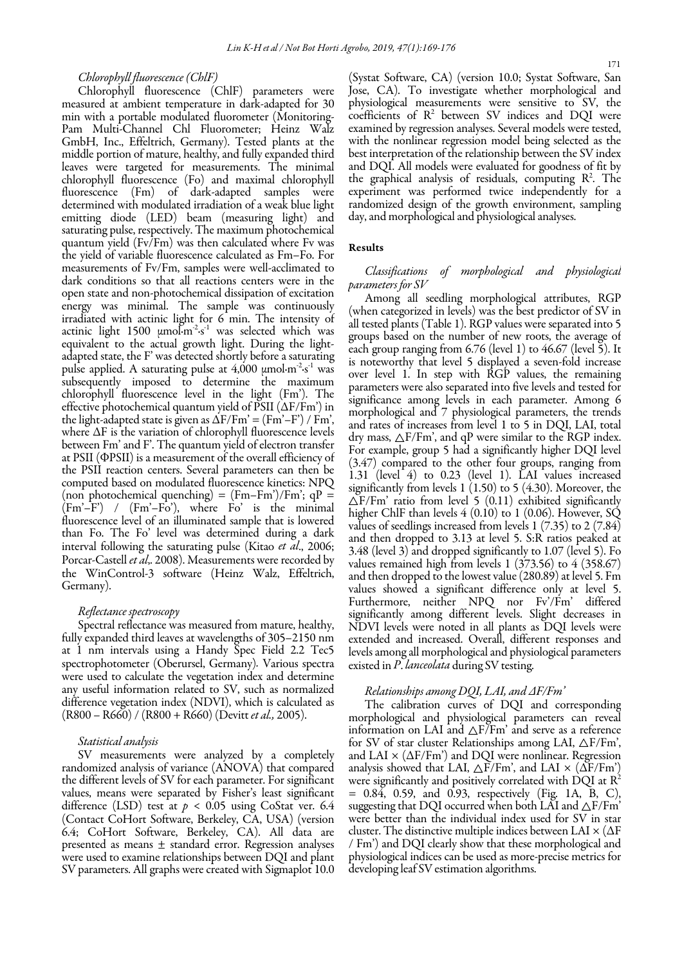## Chlorophyll fluorescence (ChlF)

Chlorophyll fluorescence (ChlF) parameters were measured at ambient temperature in dark-adapted for 30 min with a portable modulated fluorometer (Monitoring-Pam Multi-Channel Chl Fluorometer; Heinz Walz GmbH, Inc., Effeltrich, Germany). Tested plants at the middle portion of mature, healthy, and fully expanded third leaves were targeted for measurements. The minimal chlorophyll fluorescence (Fo) and maximal chlorophyll fluorescence (Fm) of dark-adapted samples were determined with modulated irradiation of a weak blue light emitting diode (LED) beam (measuring light) and saturating pulse, respectively. The maximum photochemical quantum yield (Fv/Fm) was then calculated where Fv was the yield of variable fluorescence calculated as Fm–Fo. For measurements of Fv/Fm, samples were well-acclimated to dark conditions so that all reactions centers were in the open state and non-photochemical dissipation of excitation energy was minimal. The sample was continuously irradiated with actinic light for 6 min. The intensity of actinic light 1500  $\mu$ mol·m<sup>-2</sup>·s<sup>-1</sup> was selected which was equivalent to the actual growth light. During the lightadapted state, the F' was detected shortly before a saturating pulse applied. A saturating pulse at  $4,000 \mu$ mol·m<sup>-2</sup>·s<sup>-1</sup> was subsequently imposed to determine the maximum chlorophyll fluorescence level in the light (Fm'). The effective photochemical quantum yield of PSII (∆F/Fm') in the light-adapted state is given as  $\Delta F/Fm' = (Fm' - F') / Fm'$ , where ∆F is the variation of chlorophyll fluorescence levels between Fm' and F'. The quantum yield of electron transfer at PSII (ФPSII) is a measurement of the overall efficiency of the PSII reaction centers. Several parameters can then be computed based on modulated fluorescence kinetics: NPQ (non photochemical quenching) =  $(Fm-Fm')/Fm$ ; qP =  $(Fm^2-F^2)$  /  $(Fm^2-Fo^2)$ , where  $Fo^2$  is the minimal fluorescence level of an illuminated sample that is lowered than Fo. The Fo' level was determined during a dark interval following the saturating pulse (Kitao *et al.*, 2006; Porcar-Castell et al., 2008). Measurements were recorded by the WinControl-3 software (Heinz Walz, Effeltrich, Germany).

#### Reflectance spectroscopy

(R800 – R660) / (R800 + R660) (Devitt *et al.*, 2005). Spectral reflectance was measured from mature, healthy, fully expanded third leaves at wavelengths of 305–2150 nm at 1 nm intervals using a Handy Spec Field 2.2 Tec5 spectrophotometer (Oberursel, Germany). Various spectra were used to calculate the vegetation index and determine any useful information related to SV, such as normalized difference vegetation index (NDVI), which is calculated as

#### Statistical analysis

SV measurements were analyzed by a completely randomized analysis of variance (ANOVA) that compared the different levels of SV for each parameter. For significant values, means were separated by Fisher's least significant difference (LSD) test at  $p < 0.05$  using CoStat ver. 6.4 (Contact CoHort Software, Berkeley, CA, USA) (version 6.4; CoHort Software, Berkeley, CA). All data are presented as means ± standard error. Regression analyses were used to examine relationships between DQI and plant SV parameters. All graphs were created with Sigmaplot 10.0 (Systat Software, CA) (version 10.0; Systat Software, San Jose, CA). To investigate whether morphological and physiological measurements were sensitive to SV, the  $\tilde{c}$  coefficients of  $\mathbb{R}^2$  between SV indices and DQI were examined by regression analyses. Several models were tested, with the nonlinear regression model being selected as the best interpretation of the relationship between the SV index and DQI. All models were evaluated for goodness of fit by the graphical analysis of residuals, computing  $R^2$ . The experiment was performed twice independently for a

#### Results

# Classifications of morphological and physiological parameters for SV

randomized design of the growth environment, sampling

day, and morphological and physiological analyses.

Among all seedling morphological attributes, RGP (when categorized in levels) was the best predictor of SV in all tested plants (Table 1). RGP values were separated into 5 groups based on the number of new roots, the average of each group ranging from 6.76 (level 1) to 46.67 (level 5). It is noteworthy that level 5 displayed a seven-fold increase over level 1. In step with RGP values, the remaining parameters were also separated into five levels and tested for significance among levels in each parameter. Among 6 morphological and 7 physiological parameters, the trends and rates of increases from level 1 to 5 in DQI, LAI, total dry mass,  $\Delta F/Fm'$ , and qP were similar to the RGP index. For example, group 5 had a significantly higher DQI level (3.47) compared to the other four groups, ranging from 1.31 (level 4) to 0.23 (level 1). LAI values increased significantly from levels 1 (1.50) to 5 (4.30). Moreover, the  $\Delta F/Fm'$  ratio from level 5 (0.11) exhibited significantly higher ChlF than levels 4 (0.10) to 1 (0.06). However, SQ values of seedlings increased from levels 1 (7.35) to 2 (7.84) and then dropped to 3.13 at level 5. S:R ratios peaked at 3.48 (level 3) and dropped significantly to 1.07 (level 5). Fo values remained high from levels 1  $(373.56)$  to 4  $(358.67)$ and then dropped to the lowest value (280.89) at level 5. Fm values showed a significant difference only at level 5. Furthermore, neither NPQ nor Fv'/Fm' differed significantly among different levels. Slight decreases in NDVI levels were noted in all plants as DQI levels were extended and increased. Overall, different responses and levels among all morphological and physiological parameters existed in *P. lanceolata* during SV testing.

## Relationships among DQI, LAI, and ∆F/Fm'

The calibration curves of DQI and corresponding morphological and physiological parameters can reveal information on LAI and  $\Delta F$ /Fm' and serve as a reference for SV of star cluster Relationships among LAI, △F/Fm', and LAI  $\times$  ( $\Delta F/Fm$ ) and DQI were nonlinear. Regression analysis showed that LAI,  $\triangle F/Fm'$ , and LAI  $\times$  ( $\triangle F/Fm'$ ) were significantly and positively correlated with DQI at  $R^2$ = 0.84, 0.59, and 0.93, respectively (Fig. 1A, B, C), suggesting that DQI occurred when both LAI and  $\triangle F/Fm'$ were better than the individual index used for SV in star cluster. The distinctive multiple indices between LAI  $\times$  ( $\Delta$ F / Fm') and DQI clearly show that these morphological and physiological indices can be used as more-precise metrics for developing leaf SV estimation algorithms.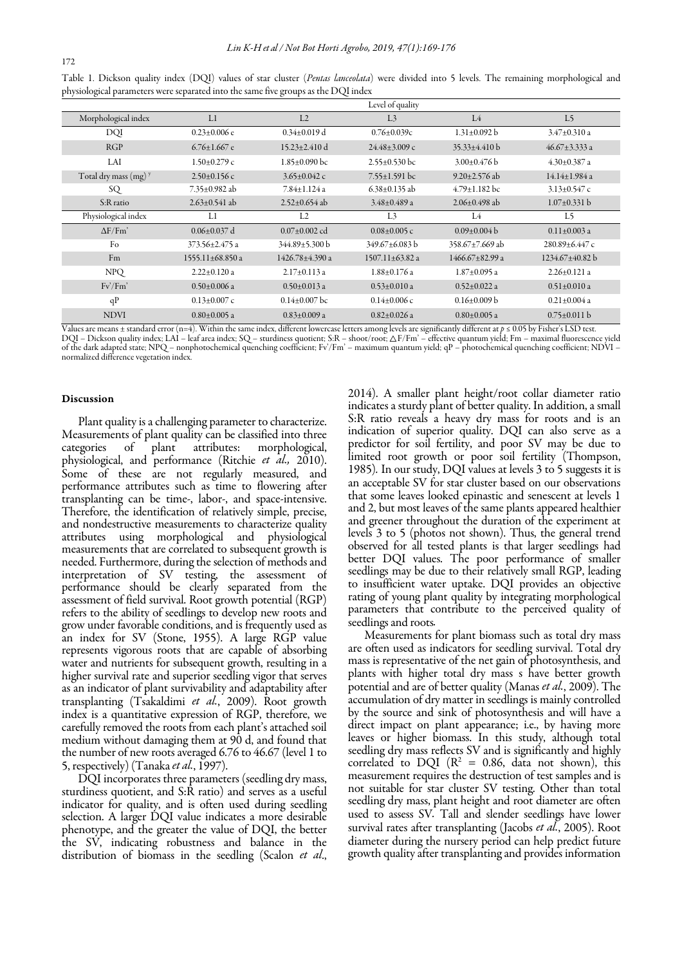| physiological parameters were separated mio the same five groups as the DQI muck |                      |                              |                       |                       |                       |
|----------------------------------------------------------------------------------|----------------------|------------------------------|-----------------------|-----------------------|-----------------------|
|                                                                                  | Level of quality     |                              |                       |                       |                       |
| Morphological index                                                              | L1                   | L2                           | L <sub>3</sub>        | L4                    | L <sub>5</sub>        |
| DQI                                                                              | $0.23 \pm 0.006$ e   | $0.34\pm0.019$ d             | $0.76 \pm 0.039c$     | $1.31 \pm 0.092 b$    | $3.47 \pm 0.310$ a    |
| RGP                                                                              | $6.76 \pm 1.667$ e   | $15.23 \pm 2.410$ d          | $24.48 \pm 3.009$ c   | $35.33\pm4.410 b$     | $46.67 \pm 3.333$ a   |
| LAI                                                                              | $1.50\pm0.279$ c     | $1.85 \pm 0.090$ bc          | $2.55 \pm 0.530$ bc   | $3.00\pm0.476$ b      | $4.30\pm0.387$ a      |
| Total dry mass (mg) <sup>y</sup>                                                 | $2.50\pm0.156$ c     | $3.65 \pm 0.042$ c           | $7.55 \pm 1.591$ bc   | $9.20 \pm 2.576$ ab   | $14.14 \pm 1.984$ a   |
| SQ                                                                               | $7.35 \pm 0.982$ ab  | 7.84±1.124 a                 | $6.38 \pm 0.135$ ab   | $4.79 \pm 1.182$ bc   | $3.13 \pm 0.547$ c    |
| S:R ratio                                                                        | $2.63 \pm 0.541$ ab  | $2.52 \pm 0.654$ ab          | $3.48\pm0.489$ a      | $2.06\pm0.498$ ab     | $1.07 \pm 0.331$ b    |
| Physiological index                                                              | L1                   | 1.2                          | L <sub>3</sub>        | L4                    | L5                    |
| $\Delta F/Fm'$                                                                   | $0.06 \pm 0.037$ d   | $0.07 \pm 0.002$ cd          | $0.08\pm0.005$ c      | $0.09\pm0.004$ b      | $0.11 \pm 0.003$ a    |
| F <sub>O</sub>                                                                   | $373.56 \pm 2.475$ a | $344.89 \pm 5.300 \text{ b}$ | $349.67\pm6.083 b$    | $358.67 \pm 7.669$ ab | $280.89 \pm 6.447$ c  |
| Fm                                                                               | 1555.11±68.850 a     | $1426.78 \pm 4.390$ a        | $1507.11 \pm 63.82$ a | $1466.67 \pm 82.99$ a | $1234.67 \pm 40.82 b$ |
| NPQ                                                                              | $2.22 \pm 0.120$ a   | $2.17\pm0.113$ a             | $1.88 \pm 0.176$ a    | $1.87 \pm 0.095$ a    | $2.26 \pm 0.121$ a    |
| Fv/Fm'                                                                           | $0.50\pm0.006$ a     | $0.50 \pm 0.013$ a           | $0.53 \pm 0.010$ a    | $0.52 \pm 0.022$ a    | $0.51 \pm 0.010$ a    |
| qP                                                                               | $0.13 \pm 0.007$ c   | $0.14\pm0.007$ bc            | $0.14\pm0.006$ c      | $0.16\pm0.009$ b      | $0.21 \pm 0.004$ a    |
| <b>NDVI</b>                                                                      | $0.80 \pm 0.005$ a   | $0.83 \pm 0.009$ a           | $0.82 \pm 0.026$ a    | $0.80 \pm 0.005$ a    | $0.75 \pm 0.011$ b    |

Table 1. Dickson quality index (DQI) values of star cluster (Pentas lanceolata) were divided into 5 levels. The remaining morphological and physiological parameters were separated into the same five groups as the DQI index

Values are means ± standard error (n=4). Within the same index, different lowercase letters among levels are significantly different at ρ ≤ 0.05 by Fisher's LSD test.<br>DQI – Dickson quality index; LAI – leaf area index; S of the dark adapted state; NPQ – nonphotochemical quenching coefficient; Fv'/Fm' – maximum quantum yield; qP – photochemical quenching coefficient; NDVI – normalized difference vegetation index.

### Discussion

Plant quality is a challenging parameter to characterize. Measurements of plant quality can be classified into three<br>categories of plant attributes: morphological, plant attributes: morphological, physiological, and performance (Ritchie et al., 2010). Some of these are not regularly measured, and performance attributes such as time to flowering after transplanting can be time-, labor-, and space-intensive. Therefore, the identification of relatively simple, precise, and nondestructive measurements to characterize quality attributes using morphological and physiological measurements that are correlated to subsequent growth is needed. Furthermore, during the selection of methods and interpretation of SV testing, the assessment of performance should be clearly separated from the assessment of field survival. Root growth potential (RGP) refers to the ability of seedlings to develop new roots and grow under favorable conditions, and is frequently used as an index for SV (Stone, 1955). A large RGP value represents vigorous roots that are capable of absorbing water and nutrients for subsequent growth, resulting in a higher survival rate and superior seedling vigor that serves as an indicator of plant survivability and adaptability after transplanting (Tsakaldimi et al., 2009). Root growth index is a quantitative expression of RGP, therefore, we carefully removed the roots from each plant's attached soil medium without damaging them at 90 d, and found that the number of new roots averaged 6.76 to 46.67 (level 1 to 5, respectively) (Tanaka et al., 1997).

DQI incorporates three parameters (seedling dry mass, sturdiness quotient, and S:R ratio) and serves as a useful indicator for quality, and is often used during seedling selection. A larger DQI value indicates a more desirable phenotype, and the greater the value of DQI, the better the SV, indicating robustness and balance in the distribution of biomass in the seedling (Scalon et al.,

2014). A smaller plant height/root collar diameter ratio indicates a sturdy plant of better quality. In addition, a small S:R ratio reveals a heavy dry mass for roots and is an indication of superior quality. DQI can also serve as a predictor for soil fertility, and poor SV may be due to limited root growth or poor soil fertility (Thompson, 1985). In our study, DQI values at levels 3 to 5 suggests it is an acceptable SV for star cluster based on our observations that some leaves looked epinastic and senescent at levels 1 and 2, but most leaves of the same plants appeared healthier and greener throughout the duration of the experiment at levels 3 to 5 (photos not shown). Thus, the general trend observed for all tested plants is that larger seedlings had better DQI values. The poor performance of smaller seedlings may be due to their relatively small RGP, leading to insufficient water uptake. DQI provides an objective rating of young plant quality by integrating morphological parameters that contribute to the perceived quality of seedlings and roots.

Measurements for plant biomass such as total dry mass are often used as indicators for seedling survival. Total dry mass is representative of the net gain of photosynthesis, and plants with higher total dry mass s have better growth potential and are of better quality (Manas et al., 2009). The accumulation of dry matter in seedlings is mainly controlled by the source and sink of photosynthesis and will have a direct impact on plant appearance; i.e., by having more leaves or higher biomass. In this study, although total seedling dry mass reflects SV and is significantly and highly correlated to DQI ( $R^2 = 0.86$ , data not shown), this measurement requires the destruction of test samples and is not suitable for star cluster SV testing. Other than total seedling dry mass, plant height and root diameter are often used to assess SV. Tall and slender seedlings have lower survival rates after transplanting (Jacobs et al., 2005). Root diameter during the nursery period can help predict future growth quality after transplanting and provides information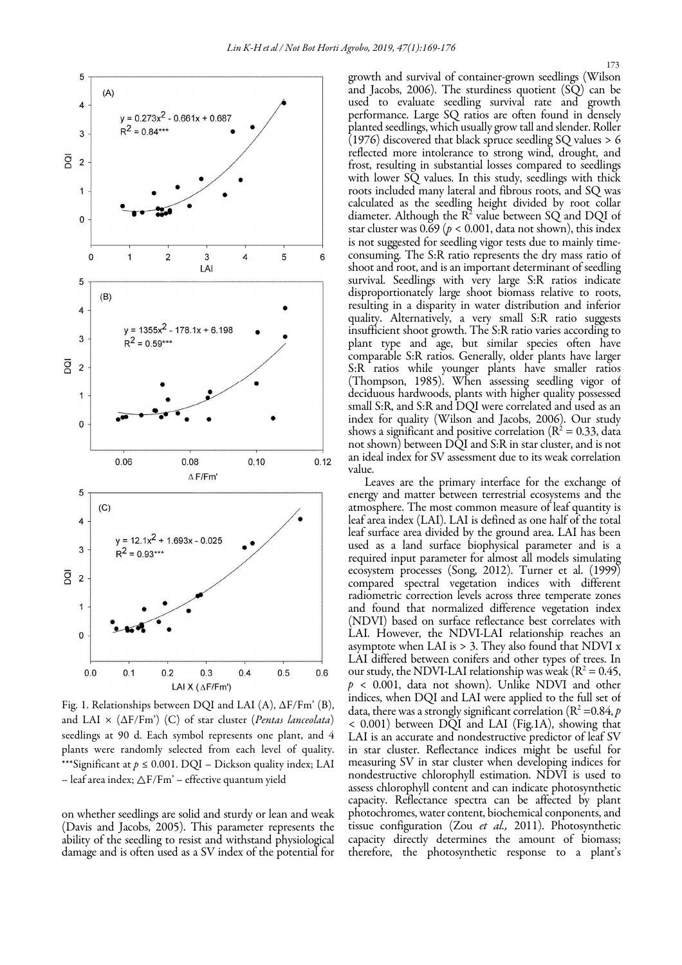

Fig. 1. Relationships between DQI and LAI (A), ∆F/Fm' (B), and LAI  $\times$  ( $\Delta F/Fm'$ ) (C) of star cluster (*Pentas lanceolata*) seedlings at 90 d. Each symbol represents one plant, and 4 plants were randomly selected from each level of quality. \*\*\*Significant at  $p \leq 0.001$ . DQI – Dickson quality index; LAI – leaf area index; △F/Fm' – effective quantum yield

on whether seedlings are solid and sturdy or lean and weak (Davis and Jacobs, 2005). This parameter represents the ability of the seedling to resist and withstand physiological damage and is often used as a SV index of the potential for growth and survival of container-grown seedlings (Wilson and Jacobs, 2006). The sturdiness quotient (SQ) can be used to evaluate seedling survival rate and growth performance. Large SQ ratios are often found in densely planted seedlings, which usually grow tall and slender. Roller (1976) discovered that black spruce seedling SQ values > 6 reflected more intolerance to strong wind, drought, and frost, resulting in substantial losses compared to seedlings with lower SQ values. In this study, seedlings with thick roots included many lateral and fibrous roots, and SQ was calculated as the seedling height divided by root collar diameter. Although the  $\mathbb{R}^2$  value between SQ and DQI of star cluster was  $0.69$  ( $p < 0.001$ , data not shown), this index is not suggested for seedling vigor tests due to mainly timeconsuming. The S:R ratio represents the dry mass ratio of shoot and root, and is an important determinant of seedling survival. Seedlings with very large S:R ratios indicate disproportionately large shoot biomass relative to roots, resulting in a disparity in water distribution and inferior quality. Alternatively, a very small S:R ratio suggests insufficient shoot growth. The S:R ratio varies according to plant type and age, but similar species often have comparable S:R ratios. Generally, older plants have larger S:R ratios while younger plants have smaller ratios (Thompson, 1985). When assessing seedling vigor of deciduous hardwoods, plants with higher quality possessed small S:R, and S:R and DQI were correlated and used as an index for quality (Wilson and Jacobs, 2006). Our study shows a significant and positive correlation ( $R^2 = 0.33$ , data not shown) between DQI and S:R in star cluster, and is not an ideal index for SV assessment due to its weak correlation value.

Leaves are the primary interface for the exchange of energy and matter between terrestrial ecosystems and the atmosphere. The most common measure of leaf quantity is leaf area index (LAI). LAI is defined as one half of the total leaf surface area divided by the ground area. LAI has been used as a land surface biophysical parameter and is a required input parameter for almost all models simulating ecosystem processes (Song, 2012). Turner et al. (1999) compared spectral vegetation indices with different radiometric correction levels across three temperate zones and found that normalized difference vegetation index (NDVI) based on surface reflectance best correlates with LAI. However, the NDVI-LAI relationship reaches an asymptote when LAI is  $> 3$ . They also found that NDVI x LAI differed between conifers and other types of trees. In our study, the NDVI-LAI relationship was weak ( $R^2 = 0.45$ ,  $p \le 0.001$ , data not shown). Unlike NDVI and other indices, when DQI and LAI were applied to the full set of data, there was a strongly significant correlation (R<sup>2</sup> =0.84,  $p$ < 0.001) between DQI and LAI (Fig.1A), showing that LAI is an accurate and nondestructive predictor of leaf SV in star cluster. Reflectance indices might be useful for measuring SV in star cluster when developing indices for nondestructive chlorophyll estimation. NDVI is used to assess chlorophyll content and can indicate photosynthetic capacity. Reflectance spectra can be affected by plant photochromes, water content, biochemical conponents, and tissue configuration (Zou et al., 2011). Photosynthetic capacity directly determines the amount of biomass; therefore, the photosynthetic response to a plant's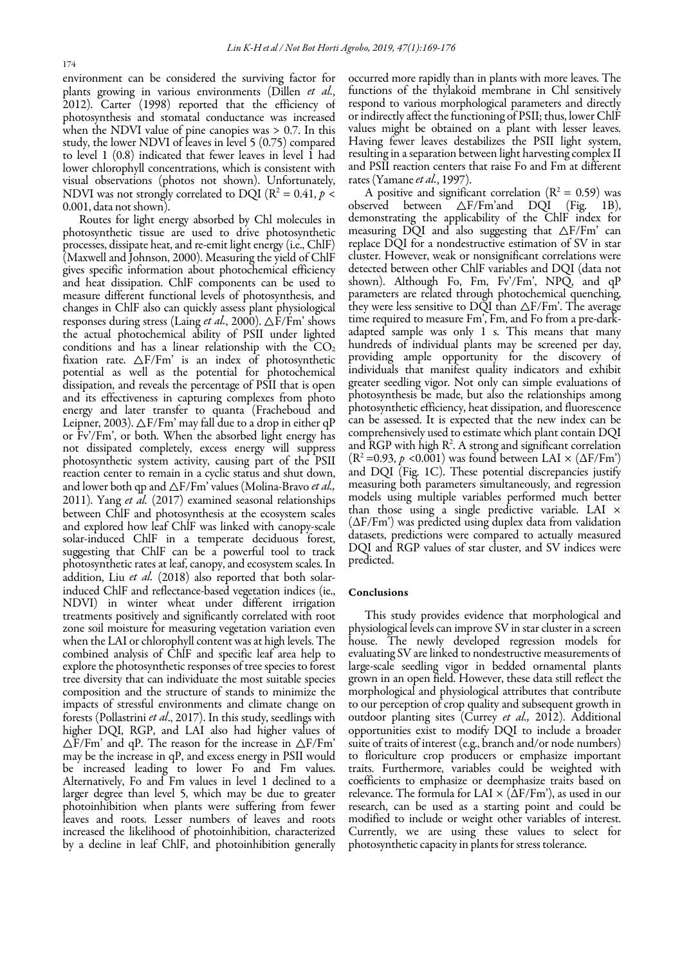environment can be considered the surviving factor for plants growing in various environments (Dillen et al., 2012). Carter (1998) reported that the efficiency of photosynthesis and stomatal conductance was increased when the NDVI value of pine canopies was  $> 0.7$ . In this study, the lower NDVI of leaves in level 5 (0.75) compared to level  $1$   $(0.8)$  indicated that fewer leaves in level  $\overline{1}$  had lower chlorophyll concentrations, which is consistent with visual observations (photos not shown). Unfortunately, NDVI was not strongly correlated to DQI ( $\mathbb{R}^2 = 0.41$ ,  $p <$ 0.001, data not shown).

Routes for light energy absorbed by Chl molecules in photosynthetic tissue are used to drive photosynthetic processes, dissipate heat, and re-emit light energy (i.e., ChlF) (Maxwell and Johnson, 2000). Measuring the yield of ChlF gives specific information about photochemical efficiency and heat dissipation. ChlF components can be used to measure different functional levels of photosynthesis, and changes in ChlF also can quickly assess plant physiological responses during stress (Laing *et al.*, 2000).  $\triangle F/Fm'$  shows the actual photochemical ability of PSII under lighted conditions and has a linear relationship with the  $CO<sub>2</sub>$ fixation rate.  $\Delta F/Fm'$  is an index of photosynthetic potential as well as the potential for photochemical dissipation, and reveals the percentage of PSII that is open and its effectiveness in capturing complexes from photo energy and later transfer to quanta (Fracheboud and Leipner, 2003).  $\Delta F/Fm'$  may fall due to a drop in either qP or Fv'/Fm', or both. When the absorbed light energy has not dissipated completely, excess energy will suppress photosynthetic system activity, causing part of the PSII reaction center to remain in a cyclic status and shut down, and lower both qp and  $\triangle F/Fm'$  values (Molina-Bravo et al., 2011). Yang et al.  $(2017)$  examined seasonal relationships between ChlF and photosynthesis at the ecosystem scales and explored how leaf ChlF was linked with canopy-scale solar‐induced ChlF in a temperate deciduous forest, suggesting that ChlF can be a powerful tool to track photosynthetic rates at leaf, canopy, and ecosystem scales. In addition, Liu et al. (2018) also reported that both solarinduced ChlF and reflectance-based vegetation indices (ie., NDVI) in winter wheat under different irrigation treatments positively and significantly correlated with root zone soil moisture for measuring vegetation variation even when the LAI or chlorophyll content was at high levels. The combined analysis of ChlF and specific leaf area help to explore the photosynthetic responses of tree species to forest tree diversity that can individuate the most suitable species composition and the structure of stands to minimize the impacts of stressful environments and climate change on forests (Pollastrini et al., 2017). In this study, seedlings with higher DQI, RGP, and LAI also had higher values of  $\Delta F$ /Fm' and qP. The reason for the increase in  $\Delta F$ /Fm' may be the increase in qP, and excess energy in PSII would be increased leading to lower Fo and Fm values. Alternatively, Fo and Fm values in level 1 declined to a larger degree than level 5, which may be due to greater photoinhibition when plants were suffering from fewer leaves and roots. Lesser numbers of leaves and roots increased the likelihood of photoinhibition, characterized by a decline in leaf ChlF, and photoinhibition generally

occurred more rapidly than in plants with more leaves. The functions of the thylakoid membrane in Chl sensitively respond to various morphological parameters and directly or indirectly affect the functioning of PSII; thus, lower ChlF values might be obtained on a plant with lesser leaves. Having fewer leaves destabilizes the PSII light system, resulting in a separation between light harvesting complex II and PSII reaction centers that raise Fo and Fm at different rates (Yamane et al., 1997).

A positive and significant correlation ( $R^2 = 0.59$ ) was observed between  $\triangle F/Fm'$  and  $DQI$  (Fig. 1B), demonstrating the applicability of the ChlF index for measuring DQI and also suggesting that  $\triangle F/Fm'$  can replace DQI for a nondestructive estimation of SV in star cluster. However, weak or nonsignificant correlations were detected between other ChlF variables and DQI (data not shown). Although Fo, Fm, Fv'/Fm', NPQ, and qP parameters are related through photochemical quenching, they were less sensitive to DQI than  $\Delta F/Fm'$ . The average time required to measure Fm', Fm, and Fo from a pre-darkadapted sample was only 1 s. This means that many hundreds of individual plants may be screened per day, providing ample opportunity for the discovery of individuals that manifest quality indicators and exhibit greater seedling vigor. Not only can simple evaluations of photosynthesis be made, but also the relationships among photosynthetic efficiency, heat dissipation, and fluorescence can be assessed. It is expected that the new index can be comprehensively used to estimate which plant contain DQI and  $\widehat{R}GP$  with high  $R^2$ . A strong and significant correlation  $(R^2=0.93, p \le 0.001)$  was found between LAI × ( $\Delta F/Fm$ ) and DQI (Fig. 1C). These potential discrepancies justify measuring both parameters simultaneously, and regression models using multiple variables performed much better than those using a single predictive variable. LAI  $\times$ (∆F/Fm') was predicted using duplex data from validation datasets, predictions were compared to actually measured DQI and RGP values of star cluster, and SV indices were predicted.

#### Conclusions

This study provides evidence that morphological and physiological levels can improve SV in star clusterin a screen house. The newly developed regression models for evaluating SV are linked to nondestructive measurements of large-scale seedling vigor in bedded ornamental plants grown in an open field. However, these data still reflect the morphological and physiological attributes that contribute to our perception of crop quality and subsequent growth in outdoor planting sites (Currey et al., 2012). Additional opportunities exist to modify DQI to include a broader suite of traits of interest (e.g., branch and/or node numbers) to floriculture crop producers or emphasize important traits. Furthermore, variables could be weighted with coefficients to emphasize or deemphasize traits based on relevance. The formula for LAI  $\times$  ( $\Delta$ F/Fm'), as used in our research, can be used as a starting point and could be modified to include or weight other variables of interest. Currently, we are using these values to select for photosynthetic capacity in plants for stress tolerance.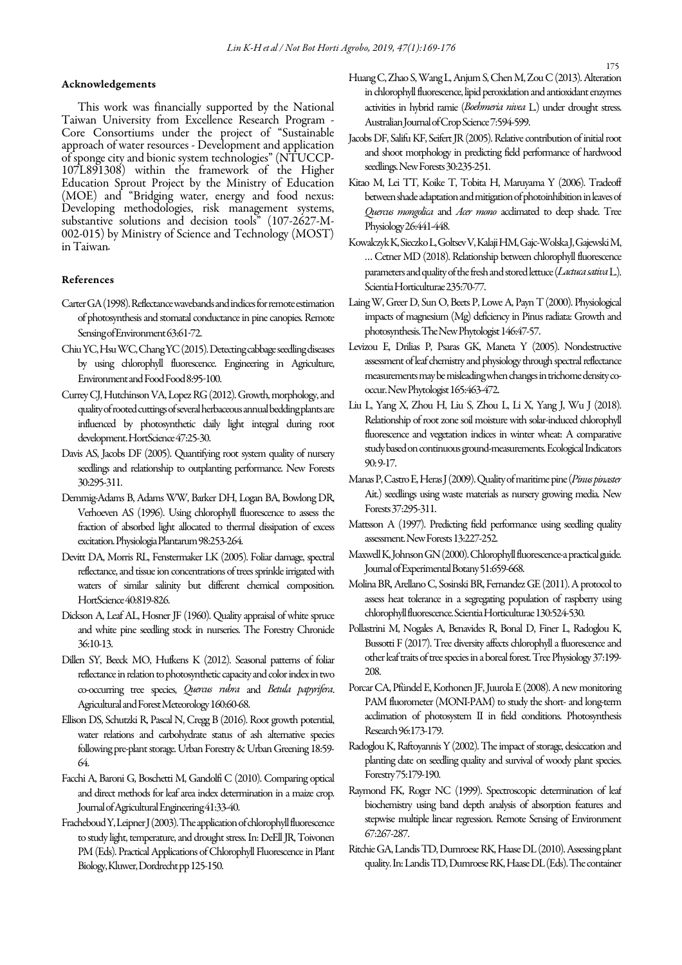## Acknowledgements

This work was financially supported by the National Taiwan University from Excellence Research Program - Core Consortiums under the project of "Sustainable approach of water resources - Development and application of sponge city and bionic system technologies" (NTUCCP-107L891308) within the framework of the Higher Education Sprout Project by the Ministry of Education (MOE) and "Bridging water, energy and food nexus: Developing methodologies, risk management systems, substantive solutions and decision tools" (107-2627-M-002-015) by Ministry of Science and Technology (MOST) in Taiwan.

## References

- Carter GA (1998). Reflectance wavebands and indices for remote estimation of photosynthesis and stomatal conductance in pine canopies. Remote Sensing of Environment 63:61-72.
- Chiu YC, Hsu WC, Chang YC (2015). Detecting cabbage seedling diseases by using chlorophyll fluorescence. Engineering in Agriculture, Environment and Food Food 8:95-100.
- Currey CJ, Hutchinson VA, Lopez RG (2012). Growth, morphology, and quality of rooted cuttings of several herbaceous annual bedding plants are influenced by photosynthetic daily light integral during root development. HortScience 47:25-30.
- Davis AS, Jacobs DF (2005). Quantifying root system quality of nursery seedlings and relationship to outplanting performance. New Forests 30:295-311.
- Demmig-Adams B, Adams WW, Barker DH, Logan BA, Bowlong DR, Verhoeven AS (1996). Using chlorophyll fluorescence to assess the fraction of absorbed light allocated to thermal dissipation of excess excitation. Physiologia Plantarum 98:253-264.
- Devitt DA, Morris RL, Fenstermaker LK (2005). Foliar damage, spectral reflectance, and tissue ion concentrations of trees sprinkle irrigated with waters of similar salinity but different chemical composition. HortScience 40:819-826.
- Dickson A, Leaf AL, Hosner JF (1960). Quality appraisal of white spruce and white pine seedling stock in nurseries. The Forestry Chronicle 36:10-13.
- Dillen SY, Beeck MO, Hufkens K (2012). Seasonal patterns of foliar reflectance in relation to photosynthetic capacity and color index in two co-occurring tree species, Quercus rubra and Betula papyrifera. Agricultural and Forest Meteorology 160:60-68.
- Ellison DS, Schutzki R, Pascal N, Cregg B (2016). Root growth potential, water relations and carbohydrate status of ash alternative species following pre-plant storage. Urban Forestry & Urban Greening 18:59- 64.
- Facchi A, Baroni G, Boschetti M, Gandolfi C (2010). Comparing optical and direct methods for leaf area index determination in a maize crop. Journal of Agricultural Engineering 41:33-40.
- Fracheboud Y, Leipner J (2003). The application of chlorophyll fluorescence to study light, temperature, and drought stress. In: DeEll JR, Toivonen PM (Eds). Practical Applications of Chlorophyll Fluorescence in Plant Biology, Kluwer, Dordrecht pp 125-150.
- Huang C, Zhao S, Wang L, Anjum S, Chen M,Zou C (2013). Alteration in chlorophyll fluorescence, lipid peroxidation and antioxidant enzymes activities in hybrid ramie (Boehmeria nivea L.) under drought stress. Australian Journal of Crop Science 7:594-599.
- Jacobs DF, Salifu KF, Seifert JR (2005). Relative contribution of initial root and shoot morphology in predicting field performance of hardwood seedlings. New Forests 30:235-251.
- Kitao M, Lei TT, Koike T, Tobita H, Maruyama Y (2006). Tradeoff between shade adaptation and mitigation of photoinhibition in leaves of Quercus mongolica and Acer mono acclimated to deep shade. Tree Physiology 26:441-448.
- Kowalczyk K, Sieczko L, Goltsev V, Kalaji HM, Gajc-Wolska J, Gajewski M, … Cetner MD (2018). Relationship between chlorophyll fluorescence parameters and quality of the fresh and stored lettuce (Lactuca sativa L.). Scientia Horticulturae 235:70-77.
- Laing W, Greer D, Sun O, Beets P, Lowe A, Payn T (2000). Physiological impacts of magnesium (Mg) deficiency in Pinus radiata: Growth and photosynthesis. The New Phytologist 146:47-57.
- Levizou E, Drilias P, Psaras GK, Maneta Y (2005). Nondestructive assessment of leaf chemistry and physiology through spectral reflectance measurements may be misleading when changes in trichome density cooccur. New Phytologist 165:463-472.
- Liu L, Yang X, Zhou H, Liu S, Zhou L, Li X, Yang J, Wu J (2018). Relationship of root zone soil moisture with solar-induced chlorophyll fluorescence and vegetation indices in winter wheat: A comparative study based on continuous ground-measurements. Ecological Indicators 90: 9-17.
- Manas P, Castro E, Heras J (2009). Quality of maritime pine (Pinus pinaster Ait.) seedlings using waste materials as nursery growing media. New Forests 37:295-311.
- Mattsson A (1997). Predicting field performance using seedling quality assessment. New Forests 13:227-252.
- Maxwell K, Johnson GN (2000). Chlorophyll fluorescence-a practical guide. Journal of Experimental Botany 51:659-668.
- Molina BR, Arellano C, Sosinski BR, Fernandez GE (2011). A protocol to assess heat tolerance in a segregating population of raspberry using chlorophyll fluorescence. Scientia Horticulturae 130:524-530.
- Pollastrini M, Nogales A, Benavides R, Bonal D, Finer L, Radoglou K, Bussotti F (2017). Tree diversity affects chlorophyll a fluorescence and other leaf traits of tree species in a boreal forest. Tree Physiology 37:199- 208.
- Porcar CA, Pfündel E, Korhonen JF, Juurola E (2008). A new monitoring PAM fluorometer (MONI-PAM) to study the short- and long-term acclimation of photosystem II in field conditions. Photosynthesis Research 96:173-179.
- Radoglou K, Raftoyannis Y (2002). The impact of storage, desiccation and planting date on seedling quality and survival of woody plant species. Forestry 75:179-190.
- Raymond FK, Roger NC (1999). Spectroscopic determination of leaf biochemistry using band depth analysis of absorption features and stepwise multiple linear regression. Remote Sensing of Environment 67:267-287.
- Ritchie GA, Landis TD, Dumroese RK, Haase DL (2010). Assessing plant quality. In: Landis TD, Dumroese RK, Haase DL (Eds). The container